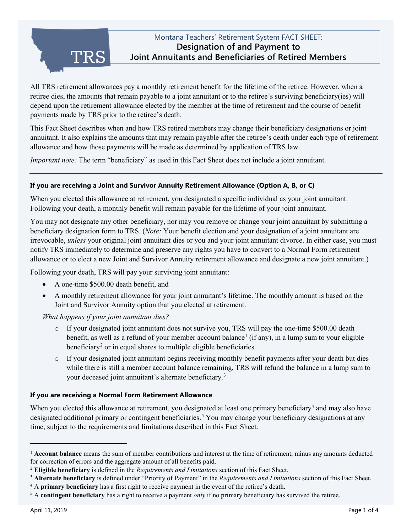TRS

# Montana Teachers' Retirement System FACT SHEET: **Designation of and Payment to Joint Annuitants and Beneficiaries of Retired Members**

All TRS retirement allowances pay a monthly retirement benefit for the lifetime of the retiree. However, when a retiree dies, the amounts that remain payable to a joint annuitant or to the retiree's surviving beneficiary(ies) will depend upon the retirement allowance elected by the member at the time of retirement and the course of benefit payments made by TRS prior to the retiree's death.

This Fact Sheet describes when and how TRS retired members may change their beneficiary designations or joint annuitant. It also explains the amounts that may remain payable after the retiree's death under each type of retirement allowance and how those payments will be made as determined by application of TRS law.

*Important note:* The term "beneficiary" as used in this Fact Sheet does not include a joint annuitant.

# **If you are receiving a Joint and Survivor Annuity Retirement Allowance (Option A, B, or C)**

When you elected this allowance at retirement, you designated a specific individual as your joint annuitant. Following your death, a monthly benefit will remain payable for the lifetime of your joint annuitant.

You may not designate any other beneficiary, nor may you remove or change your joint annuitant by submitting a beneficiary designation form to TRS. (*Note:* Your benefit election and your designation of a joint annuitant are irrevocable, *unless* your original joint annuitant dies or you and your joint annuitant divorce. In either case, you must notify TRS immediately to determine and preserve any rights you have to convert to a Normal Form retirement allowance or to elect a new Joint and Survivor Annuity retirement allowance and designate a new joint annuitant.)

Following your death, TRS will pay your surviving joint annuitant:

- A one-time \$500.00 death benefit, and
- A monthly retirement allowance for your joint annuitant's lifetime. The monthly amount is based on the Joint and Survivor Annuity option that you elected at retirement.

*What happens if your joint annuitant dies?*

- o If your designated joint annuitant does not survive you, TRS will pay the one-time \$500.00 death benefit, as well as a refund of your member account balance<sup>[1](#page-0-0)</sup> (if any), in a lump sum to your eligible beneficiary<sup>[2](#page-0-1)</sup> or in equal shares to multiple eligible beneficiaries.
- o If your designated joint annuitant begins receiving monthly benefit payments after your death but dies while there is still a member account balance remaining, TRS will refund the balance in a lump sum to your deceased joint annuitant's alternate beneficiary.[3](#page-0-2)

# **If you are receiving a Normal Form Retirement Allowance**

When you elected this allowance at retirement, you designated at least one primary beneficiary<sup>4</sup> and may also have designated additional primary or contingent beneficiaries.<sup>[5](#page-0-4)</sup> You may change your beneficiary designations at any time, subject to the requirements and limitations described in this Fact Sheet.

<span id="page-0-0"></span>j <sup>1</sup> **Account balance** means the sum of member contributions and interest at the time of retirement, minus any amounts deducted for correction of errors and the aggregate amount of all benefits paid.

<span id="page-0-1"></span><sup>2</sup> **Eligible beneficiary** is defined in the *Requirements and Limitations* section of this Fact Sheet.

<span id="page-0-2"></span><sup>3</sup> **Alternate beneficiary** is defined under "Priority of Payment" in the *Requirements and Limitations* section of this Fact Sheet.

<span id="page-0-3"></span><sup>&</sup>lt;sup>4</sup> A **primary beneficiary** has a first right to receive payment in the event of the retiree's death.<br><sup>5</sup> A **contingent beneficiary** has a right to receive a payment *only* if no primary beneficiary has survived the retir

<span id="page-0-4"></span>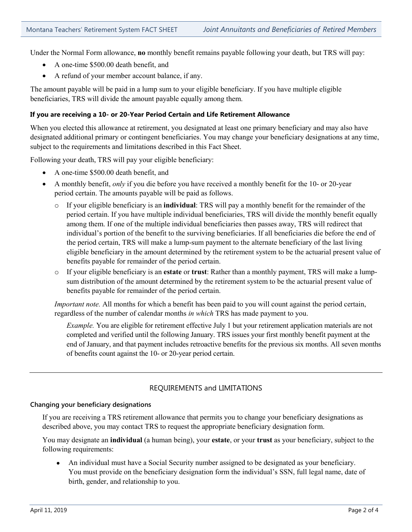Under the Normal Form allowance, **no** monthly benefit remains payable following your death, but TRS will pay:

- A one-time \$500.00 death benefit, and
- A refund of your member account balance, if any.

The amount payable will be paid in a lump sum to your eligible beneficiary. If you have multiple eligible beneficiaries, TRS will divide the amount payable equally among them.

## **If you are receiving a 10- or 20-Year Period Certain and Life Retirement Allowance**

When you elected this allowance at retirement, you designated at least one primary beneficiary and may also have designated additional primary or contingent beneficiaries. You may change your beneficiary designations at any time, subject to the requirements and limitations described in this Fact Sheet.

Following your death, TRS will pay your eligible beneficiary:

- A one-time \$500.00 death benefit, and
- A monthly benefit, *only* if you die before you have received a monthly benefit for the 10- or 20-year period certain. The amounts payable will be paid as follows.
	- o If your eligible beneficiary is an **individual**: TRS will pay a monthly benefit for the remainder of the period certain. If you have multiple individual beneficiaries, TRS will divide the monthly benefit equally among them. If one of the multiple individual beneficiaries then passes away, TRS will redirect that individual's portion of the benefit to the surviving beneficiaries. If all beneficiaries die before the end of the period certain, TRS will make a lump-sum payment to the alternate beneficiary of the last living eligible beneficiary in the amount determined by the retirement system to be the actuarial present value of benefits payable for remainder of the period certain.
	- o If your eligible beneficiary is an **estate** or **trust**: Rather than a monthly payment, TRS will make a lumpsum distribution of the amount determined by the retirement system to be the actuarial present value of benefits payable for remainder of the period certain.

*Important note.* All months for which a benefit has been paid to you will count against the period certain, regardless of the number of calendar months *in which* TRS has made payment to you.

*Example.* You are eligible for retirement effective July 1 but your retirement application materials are not completed and verified until the following January. TRS issues your first monthly benefit payment at the end of January, and that payment includes retroactive benefits for the previous six months. All seven months of benefits count against the 10- or 20-year period certain.

# REQUIREMENTS and LIMITATIONS

## **Changing your beneficiary designations**

If you are receiving a TRS retirement allowance that permits you to change your beneficiary designations as described above, you may contact TRS to request the appropriate beneficiary designation form.

You may designate an **individual** (a human being), your **estate**, or your **trust** as your beneficiary, subject to the following requirements:

• An individual must have a Social Security number assigned to be designated as your beneficiary. You must provide on the beneficiary designation form the individual's SSN, full legal name, date of birth, gender, and relationship to you.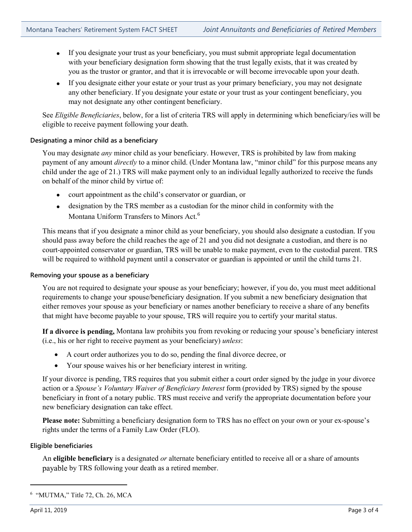- If you designate your trust as your beneficiary, you must submit appropriate legal documentation with your beneficiary designation form showing that the trust legally exists, that it was created by you as the trustor or grantor, and that it is irrevocable or will become irrevocable upon your death.
- If you designate either your estate or your trust as your primary beneficiary, you may not designate any other beneficiary. If you designate your estate or your trust as your contingent beneficiary, you may not designate any other contingent beneficiary.

See *Eligible Beneficiaries*, below, for a list of criteria TRS will apply in determining which beneficiary/ies will be eligible to receive payment following your death.

## **Designating a minor child as a beneficiary**

You may designate *any* minor child as your beneficiary. However, TRS is prohibited by law from making payment of any amount *directly* to a minor child. (Under Montana law, "minor child" for this purpose means any child under the age of 21.) TRS will make payment only to an individual legally authorized to receive the funds on behalf of the minor child by virtue of:

- court appointment as the child's conservator or guardian, or
- designation by the TRS member as a custodian for the minor child in conformity with the Montana Uniform Transfers to Minors Act.<sup>[6](#page-2-0)</sup>

This means that if you designate a minor child as your beneficiary, you should also designate a custodian. If you should pass away before the child reaches the age of 21 and you did not designate a custodian, and there is no court-appointed conservator or guardian, TRS will be unable to make payment, even to the custodial parent. TRS will be required to withhold payment until a conservator or guardian is appointed or until the child turns 21.

## **Removing your spouse as a beneficiary**

You are not required to designate your spouse as your beneficiary; however, if you do, you must meet additional requirements to change your spouse/beneficiary designation. If you submit a new beneficiary designation that either removes your spouse as your beneficiary or names another beneficiary to receive a share of any benefits that might have become payable to your spouse, TRS will require you to certify your marital status.

**If a divorce is pending,** Montana law prohibits you from revoking or reducing your spouse's beneficiary interest (i.e., his or her right to receive payment as your beneficiary) *unless*:

- A court order authorizes you to do so, pending the final divorce decree, or
- Your spouse waives his or her beneficiary interest in writing.

If your divorce is pending, TRS requires that you submit either a court order signed by the judge in your divorce action or a *Spouse's Voluntary Waiver of Beneficiary Interest* form (provided by TRS) signed by the spouse beneficiary in front of a notary public. TRS must receive and verify the appropriate documentation before your new beneficiary designation can take effect.

Please note: Submitting a beneficiary designation form to TRS has no effect on your own or your ex-spouse's rights under the terms of a Family Law Order (FLO).

## **Eligible beneficiaries**

An **eligible beneficiary** is a designated *or* alternate beneficiary entitled to receive all or a share of amounts payable by TRS following your death as a retired member.

j

<span id="page-2-0"></span><sup>6</sup> "MUTMA," Title 72, Ch. 26, MCA